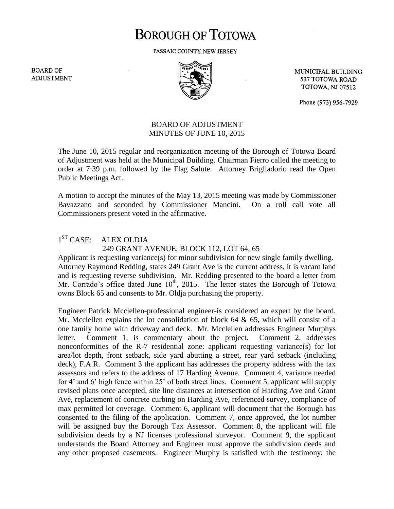# **BOROUGH OF TOTOWA**

PASSAIC COUNTY, NEW JERSEY

**BOARD OF ADJUSTMENT** 



MUNICIPAL BUILDING 537 TOTOWA ROAD **TOTOWA, NJ 07512** 

Phone (973) 956-7929

## BOARD OF ADJUSTMENT MINUTES OF JUNE 10, 2015

The June 10, 2015 regular and reorganization meeting of the Borough of Totowa Board of Adjustment was held at the Municipal Building. Chairman Fierro called the meeting to order at 7:39 p.m. followed by the Flag Salute. Attorney Brigliadorio read the Open Public Meetings Act.

A motion to accept the minutes of the May 13, 2015 meeting was made by Commissioner Bavazzano and seconded by Commissioner Mancini. On a roll call vote all Commissioners present voted in the affirmative.

#### $1^{ST}$  CASE: ALEX OLDJA 249 GRANT AVENUE, BLOCK 112, LOT 64, 65

Applicant is requesting variance(s) for minor subdivision for new single family dwelling. Attorney Raymond Redding, states 249 Grant Ave is the current address, it is vacant land and is requesting reverse subdivision. Mr. Redding presented to the board a letter from Mr. Corrado's office dated June  $10<sup>th</sup>$ , 2015. The letter states the Borough of Totowa owns Block 65 and consents to Mr. Oldja purchasing the property.

Engineer Patrick Mcclellen-professional engineer-is considered an expert by the board. Mr. Mcclellen explains the lot consolidation of block  $64 \& 65$ , which will consist of a one family home with driveway and deck. Mr. Mcclellen addresses Engineer Murphys letter. Comment 1, is commentary about the project. Comment 2, addresses nonconformities of the R-7 residential zone: applicant requesting variance(s) for lot area/lot depth, front setback, side yard abutting a street, rear yard setback (including deck), F.A.R. Comment 3 the applicant has addresses the property address with the tax assessors and refers to the address of 17 Harding Avenue. Comment 4, variance needed for 4' and 6' high fence within 25' of both street lines. Comment 5, applicant will supply revised plans once accepted, site line distances at intersection of Harding Ave and Grant Ave, replacement of concrete curbing on Harding Ave, referenced survey, compliance of max permitted lot coverage. Comment 6, applicant will document that the Borough has consented to the filing of the application. Comment 7, once approved, the lot number will be assigned buy the Borough Tax Assessor. Comment 8, the applicant will file subdivision deeds by a NJ licenses professional surveyor. Comment 9, the applicant understands the Board Attorney and Engineer must approve the subdivision deeds and any other proposed easements. Engineer Murphy is satisfied with the testimony; the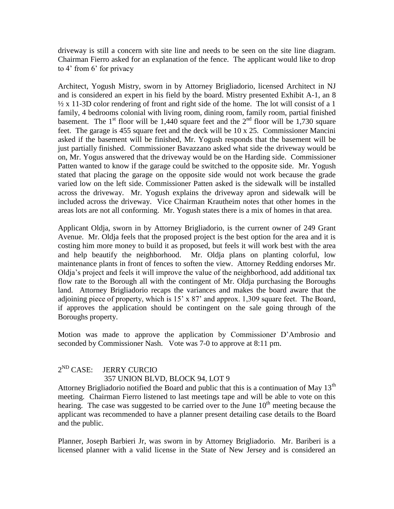driveway is still a concern with site line and needs to be seen on the site line diagram. Chairman Fierro asked for an explanation of the fence. The applicant would like to drop to 4' from 6' for privacy

Architect, Yogush Mistry, sworn in by Attorney Brigliadorio, licensed Architect in NJ and is considered an expert in his field by the board. Mistry presented Exhibit A-1, an 8  $\frac{1}{2} \times 11$ -3D color rendering of front and right side of the home. The lot will consist of a 1 family, 4 bedrooms colonial with living room, dining room, family room, partial finished basement. The  $1<sup>st</sup>$  floor will be 1,440 square feet and the  $2<sup>nd</sup>$  floor will be 1,730 square feet. The garage is 455 square feet and the deck will be 10 x 25. Commissioner Mancini asked if the basement will be finished, Mr. Yogush responds that the basement will be just partially finished. Commissioner Bavazzano asked what side the driveway would be on, Mr. Yogus answered that the driveway would be on the Harding side. Commissioner Patten wanted to know if the garage could be switched to the opposite side. Mr. Yogush stated that placing the garage on the opposite side would not work because the grade varied low on the left side. Commissioner Patten asked is the sidewalk will be installed across the driveway. Mr. Yogush explains the driveway apron and sidewalk will be included across the driveway. Vice Chairman Krautheim notes that other homes in the areas lots are not all conforming. Mr. Yogush states there is a mix of homes in that area.

Applicant Oldja, sworn in by Attorney Brigliadorio, is the current owner of 249 Grant Avenue. Mr. Oldja feels that the proposed project is the best option for the area and it is costing him more money to build it as proposed, but feels it will work best with the area and help beautify the neighborhood. Mr. Oldja plans on planting colorful, low maintenance plants in front of fences to soften the view. Attorney Redding endorses Mr. Oldja's project and feels it will improve the value of the neighborhood, add additional tax flow rate to the Borough all with the contingent of Mr. Oldja purchasing the Boroughs land. Attorney Brigliadorio recaps the variances and makes the board aware that the adjoining piece of property, which is 15' x 87' and approx. 1,309 square feet. The Board, if approves the application should be contingent on the sale going through of the Boroughs property.

Motion was made to approve the application by Commissioner D'Ambrosio and seconded by Commissioner Nash. Vote was 7-0 to approve at 8:11 pm.

#### $2^{ND}$  CASE: **JERRY CURCIO** 357 UNION BLVD, BLOCK 94, LOT 9

Attorney Brigliadorio notified the Board and public that this is a continuation of May  $13<sup>th</sup>$ meeting. Chairman Fierro listened to last meetings tape and will be able to vote on this hearing. The case was suggested to be carried over to the June  $10<sup>th</sup>$  meeting because the applicant was recommended to have a planner present detailing case details to the Board and the public.

Planner, Joseph Barbieri Jr, was sworn in by Attorney Brigliadorio. Mr. Bariberi is a licensed planner with a valid license in the State of New Jersey and is considered an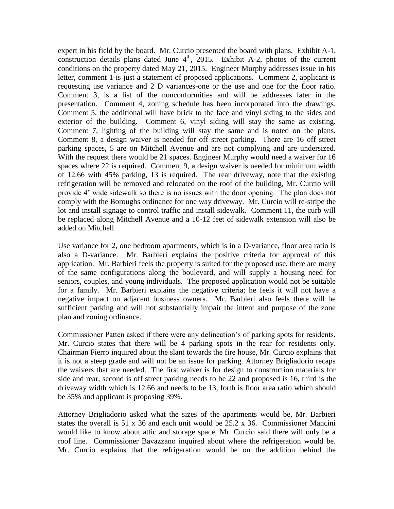expert in his field by the board. Mr. Curcio presented the board with plans. Exhibit A-1, construction details plans dated June  $4<sup>th</sup>$ , 2015. Exhibit A-2, photos of the current conditions on the property dated May 21, 2015. Engineer Murphy addresses issue in his letter, comment 1-is just a statement of proposed applications. Comment 2, applicant is requesting use variance and 2 D variances-one or the use and one for the floor ratio. Comment 3, is a list of the nonconformities and will be addresses later in the presentation. Comment 4, zoning schedule has been incorporated into the drawings. Comment 5, the additional will have brick to the face and vinyl siding to the sides and exterior of the building. Comment 6, vinyl siding will stay the same as existing. Comment 7, lighting of the building will stay the same and is noted on the plans. Comment 8, a design waiver is needed for off street parking. There are 16 off street parking spaces, 5 are on Mitchell Avenue and are not complying and are undersized. With the request there would be 21 spaces. Engineer Murphy would need a waiver for 16 spaces where 22 is required. Comment 9, a design waiver is needed for minimum width of 12.66 with 45% parking, 13 is required. The rear driveway, note that the existing refrigeration will be removed and relocated on the roof of the building, Mr. Curcio will provide 4' wide sidewalk so there is no issues with the door opening. The plan does not comply with the Boroughs ordinance for one way driveway. Mr. Curcio will re-stripe the lot and install signage to control traffic and install sidewalk. Comment 11, the curb will be replaced along Mitchell Avenue and a 10-12 feet of sidewalk extension will also be added on Mitchell.

Use variance for 2, one bedroom apartments, which is in a D-variance, floor area ratio is also a D-variance. Mr. Barbieri explains the positive criteria for approval of this application. Mr. Barbieri feels the property is suited for the proposed use, there are many of the same configurations along the boulevard, and will supply a housing need for seniors, couples, and young individuals. The proposed application would not be suitable for a family. Mr. Barbieri explains the negative criteria; he feels it will not have a negative impact on adjacent business owners. Mr. Barbieri also feels there will be sufficient parking and will not substantially impair the intent and purpose of the zone plan and zoning ordinance.

Commissioner Patten asked if there were any delineation's of parking spots for residents, Mr. Curcio states that there will be 4 parking spots in the rear for residents only. Chairman Fierro inquired about the slant towards the fire house, Mr. Curcio explains that it is not a steep grade and will not be an issue for parking. Attorney Brigliadorio recaps the waivers that are needed. The first waiver is for design to construction materials for side and rear, second is off street parking needs to be 22 and proposed is 16, third is the driveway width which is 12.66 and needs to be 13, forth is floor area ratio which should be 35% and applicant is proposing 39%.

Attorney Brigliadorio asked what the sizes of the apartments would be, Mr. Barbieri states the overall is 51 x 36 and each unit would be  $25.2 \times 36$ . Commissioner Mancini would like to know about attic and storage space, Mr. Curcio said there will only be a roof line. Commissioner Bavazzano inquired about where the refrigeration would be. Mr. Curcio explains that the refrigeration would be on the addition behind the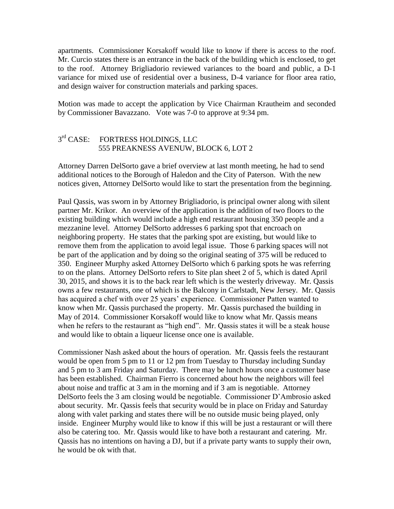apartments. Commissioner Korsakoff would like to know if there is access to the roof. Mr. Curcio states there is an entrance in the back of the building which is enclosed, to get to the roof. Attorney Brigliadorio reviewed variances to the board and public, a D-1 variance for mixed use of residential over a business, D-4 variance for floor area ratio, and design waiver for construction materials and parking spaces.

Motion was made to accept the application by Vice Chairman Krautheim and seconded by Commissioner Bavazzano. Vote was 7-0 to approve at 9:34 pm.

#### $3<sup>rd</sup>$  CASE: FORTRESS HOLDINGS, LLC 555 PREAKNESS AVENUW, BLOCK 6, LOT 2

Attorney Darren DelSorto gave a brief overview at last month meeting, he had to send additional notices to the Borough of Haledon and the City of Paterson. With the new notices given, Attorney DelSorto would like to start the presentation from the beginning.

Paul Qassis, was sworn in by Attorney Brigliadorio, is principal owner along with silent partner Mr. Krikor. An overview of the application is the addition of two floors to the existing building which would include a high end restaurant housing 350 people and a mezzanine level. Attorney DelSorto addresses 6 parking spot that encroach on neighboring property. He states that the parking spot are existing, but would like to remove them from the application to avoid legal issue. Those 6 parking spaces will not be part of the application and by doing so the original seating of 375 will be reduced to 350. Engineer Murphy asked Attorney DelSorto which 6 parking spots he was referring to on the plans. Attorney DelSorto refers to Site plan sheet 2 of 5, which is dated April 30, 2015, and shows it is to the back rear left which is the westerly driveway. Mr. Qassis owns a few restaurants, one of which is the Balcony in Carlstadt, New Jersey. Mr. Qassis has acquired a chef with over 25 years' experience. Commissioner Patten wanted to know when Mr. Qassis purchased the property. Mr. Qassis purchased the building in May of 2014. Commissioner Korsakoff would like to know what Mr. Qassis means when he refers to the restaurant as "high end". Mr. Qassis states it will be a steak house and would like to obtain a liqueur license once one is available.

Commissioner Nash asked about the hours of operation. Mr. Qassis feels the restaurant would be open from 5 pm to 11 or 12 pm from Tuesday to Thursday including Sunday and 5 pm to 3 am Friday and Saturday. There may be lunch hours once a customer base has been established. Chairman Fierro is concerned about how the neighbors will feel about noise and traffic at 3 am in the morning and if 3 am is negotiable. Attorney DelSorto feels the 3 am closing would be negotiable. Commissioner D'Ambrosio asked about security. Mr. Qassis feels that security would be in place on Friday and Saturday along with valet parking and states there will be no outside music being played, only inside. Engineer Murphy would like to know if this will be just a restaurant or will there also be catering too. Mr. Qassis would like to have both a restaurant and catering. Mr. Qassis has no intentions on having a DJ, but if a private party wants to supply their own, he would be ok with that.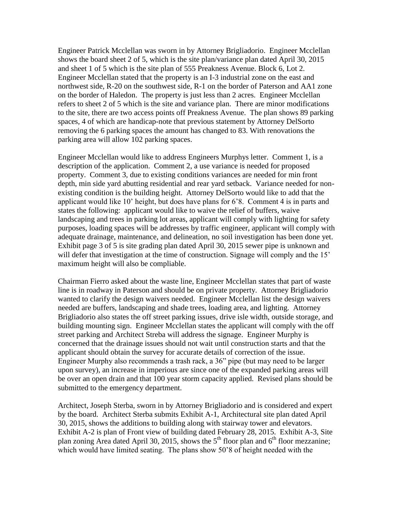Engineer Patrick Mcclellan was sworn in by Attorney Brigliadorio. Engineer Mcclellan shows the board sheet 2 of 5, which is the site plan/variance plan dated April 30, 2015 and sheet 1 of 5 which is the site plan of 555 Preakness Avenue. Block 6, Lot 2. Engineer Mcclellan stated that the property is an I-3 industrial zone on the east and northwest side, R-20 on the southwest side, R-1 on the border of Paterson and AA1 zone on the border of Haledon. The property is just less than 2 acres. Engineer Mcclellan refers to sheet 2 of 5 which is the site and variance plan. There are minor modifications to the site, there are two access points off Preakness Avenue. The plan shows 89 parking spaces, 4 of which are handicap-note that previous statement by Attorney DelSorto removing the 6 parking spaces the amount has changed to 83. With renovations the parking area will allow 102 parking spaces.

Engineer Mcclellan would like to address Engineers Murphys letter. Comment 1, is a description of the application. Comment 2, a use variance is needed for proposed property. Comment 3, due to existing conditions variances are needed for min front depth, min side yard abutting residential and rear yard setback. Variance needed for nonexisting condition is the building height. Attorney DelSorto would like to add that the applicant would like 10' height, but does have plans for 6'8. Comment 4 is in parts and states the following: applicant would like to waive the relief of buffers, waive landscaping and trees in parking lot areas, applicant will comply with lighting for safety purposes, loading spaces will be addresses by traffic engineer, applicant will comply with adequate drainage, maintenance, and delineation, no soil investigation has been done yet. Exhibit page 3 of 5 is site grading plan dated April 30, 2015 sewer pipe is unknown and will defer that investigation at the time of construction. Signage will comply and the 15' maximum height will also be compliable.

Chairman Fierro asked about the waste line, Engineer Mcclellan states that part of waste line is in roadway in Paterson and should be on private property. Attorney Brigliadorio wanted to clarify the design waivers needed. Engineer Mcclellan list the design waivers needed are buffers, landscaping and shade trees, loading area, and lighting. Attorney Brigliadorio also states the off street parking issues, drive isle width, outside storage, and building mounting sign. Engineer Mcclellan states the applicant will comply with the off street parking and Architect Streba will address the signage. Engineer Murphy is concerned that the drainage issues should not wait until construction starts and that the applicant should obtain the survey for accurate details of correction of the issue. Engineer Murphy also recommends a trash rack, a 36" pipe (but may need to be larger upon survey), an increase in imperious are since one of the expanded parking areas will be over an open drain and that 100 year storm capacity applied. Revised plans should be submitted to the emergency department.

Architect, Joseph Sterba, sworn in by Attorney Brigliadorio and is considered and expert by the board. Architect Sterba submits Exhibit A-1, Architectural site plan dated April 30, 2015, shows the additions to building along with stairway tower and elevators. Exhibit A-2 is plan of Front view of building dated February 28, 2015. Exhibit A-3, Site plan zoning Area dated April 30, 2015, shows the  $5<sup>th</sup>$  floor plan and  $6<sup>th</sup>$  floor mezzanine; which would have limited seating. The plans show 50'8 of height needed with the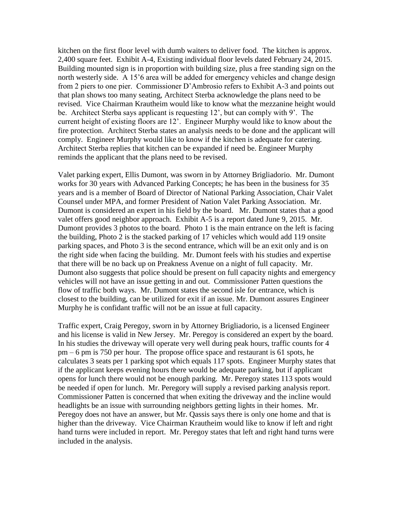kitchen on the first floor level with dumb waiters to deliver food. The kitchen is approx. 2,400 square feet. Exhibit A-4, Existing individual floor levels dated February 24, 2015. Building mounted sign is in proportion with building size, plus a free standing sign on the north westerly side. A 15'6 area will be added for emergency vehicles and change design from 2 piers to one pier. Commissioner D'Ambrosio refers to Exhibit A-3 and points out that plan shows too many seating, Architect Sterba acknowledge the plans need to be revised. Vice Chairman Krautheim would like to know what the mezzanine height would be. Architect Sterba says applicant is requesting 12', but can comply with 9'. The current height of existing floors are 12'. Engineer Murphy would like to know about the fire protection. Architect Sterba states an analysis needs to be done and the applicant will comply. Engineer Murphy would like to know if the kitchen is adequate for catering. Architect Sterba replies that kitchen can be expanded if need be. Engineer Murphy reminds the applicant that the plans need to be revised.

Valet parking expert, Ellis Dumont, was sworn in by Attorney Brigliadorio. Mr. Dumont works for 30 years with Advanced Parking Concepts; he has been in the business for 35 years and is a member of Board of Director of National Parking Association, Chair Valet Counsel under MPA, and former President of Nation Valet Parking Association. Mr. Dumont is considered an expert in his field by the board. Mr. Dumont states that a good valet offers good neighbor approach. Exhibit A-5 is a report dated June 9, 2015. Mr. Dumont provides 3 photos to the board. Photo 1 is the main entrance on the left is facing the building, Photo 2 is the stacked parking of 17 vehicles which would add 119 onsite parking spaces, and Photo 3 is the second entrance, which will be an exit only and is on the right side when facing the building. Mr. Dumont feels with his studies and expertise that there will be no back up on Preakness Avenue on a night of full capacity. Mr. Dumont also suggests that police should be present on full capacity nights and emergency vehicles will not have an issue getting in and out. Commissioner Patten questions the flow of traffic both ways. Mr. Dumont states the second isle for entrance, which is closest to the building, can be utilized for exit if an issue. Mr. Dumont assures Engineer Murphy he is confidant traffic will not be an issue at full capacity.

Traffic expert, Craig Peregoy, sworn in by Attorney Brigliadorio, is a licensed Engineer and his license is valid in New Jersey. Mr. Peregoy is considered an expert by the board. In his studies the driveway will operate very well during peak hours, traffic counts for 4 pm – 6 pm is 750 per hour. The propose office space and restaurant is 61 spots, he calculates 3 seats per 1 parking spot which equals 117 spots. Engineer Murphy states that if the applicant keeps evening hours there would be adequate parking, but if applicant opens for lunch there would not be enough parking. Mr. Peregoy states 113 spots would be needed if open for lunch. Mr. Peregory will supply a revised parking analysis report. Commissioner Patten is concerned that when exiting the driveway and the incline would headlights be an issue with surrounding neighbors getting lights in their homes. Mr. Peregoy does not have an answer, but Mr. Qassis says there is only one home and that is higher than the driveway. Vice Chairman Krautheim would like to know if left and right hand turns were included in report. Mr. Peregoy states that left and right hand turns were included in the analysis.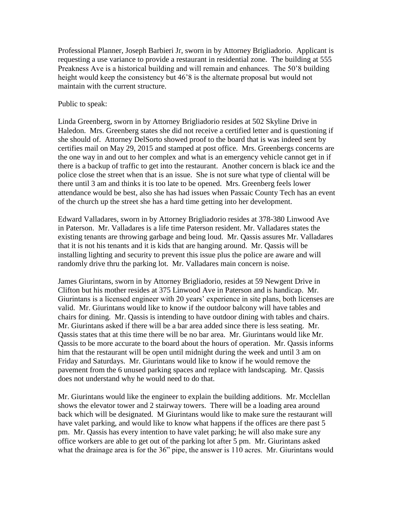Professional Planner, Joseph Barbieri Jr, sworn in by Attorney Brigliadorio. Applicant is requesting a use variance to provide a restaurant in residential zone. The building at 555 Preakness Ave is a historical building and will remain and enhances. The 50'8 building height would keep the consistency but 46'8 is the alternate proposal but would not maintain with the current structure.

### Public to speak:

Linda Greenberg, sworn in by Attorney Brigliadorio resides at 502 Skyline Drive in Haledon. Mrs. Greenberg states she did not receive a certified letter and is questioning if she should of. Attorney DelSorto showed proof to the board that is was indeed sent by certifies mail on May 29, 2015 and stamped at post office. Mrs. Greenbergs concerns are the one way in and out to her complex and what is an emergency vehicle cannot get in if there is a backup of traffic to get into the restaurant. Another concern is black ice and the police close the street when that is an issue. She is not sure what type of cliental will be there until 3 am and thinks it is too late to be opened. Mrs. Greenberg feels lower attendance would be best, also she has had issues when Passaic County Tech has an event of the church up the street she has a hard time getting into her development.

Edward Valladares, sworn in by Attorney Brigliadorio resides at 378-380 Linwood Ave in Paterson. Mr. Valladares is a life time Paterson resident. Mr. Valladares states the existing tenants are throwing garbage and being loud. Mr. Qassis assures Mr. Valladares that it is not his tenants and it is kids that are hanging around. Mr. Qassis will be installing lighting and security to prevent this issue plus the police are aware and will randomly drive thru the parking lot. Mr. Valladares main concern is noise.

James Giurintans, sworn in by Attorney Brigliadorio, resides at 59 Newgent Drive in Clifton but his mother resides at 375 Linwood Ave in Paterson and is handicap. Mr. Giurintans is a licensed engineer with 20 years' experience in site plans, both licenses are valid. Mr. Giurintans would like to know if the outdoor balcony will have tables and chairs for dining. Mr. Qassis is intending to have outdoor dining with tables and chairs. Mr. Giurintans asked if there will be a bar area added since there is less seating. Mr. Qassis states that at this time there will be no bar area. Mr. Giurintans would like Mr. Qassis to be more accurate to the board about the hours of operation. Mr. Qassis informs him that the restaurant will be open until midnight during the week and until 3 am on Friday and Saturdays. Mr. Giurintans would like to know if he would remove the pavement from the 6 unused parking spaces and replace with landscaping. Mr. Qassis does not understand why he would need to do that.

Mr. Giurintans would like the engineer to explain the building additions. Mr. Mcclellan shows the elevator tower and 2 stairway towers. There will be a loading area around back which will be designated. M Giurintans would like to make sure the restaurant will have valet parking, and would like to know what happens if the offices are there past 5 pm. Mr. Qassis has every intention to have valet parking; he will also make sure any office workers are able to get out of the parking lot after 5 pm. Mr. Giurintans asked what the drainage area is for the 36" pipe, the answer is 110 acres. Mr. Giurintans would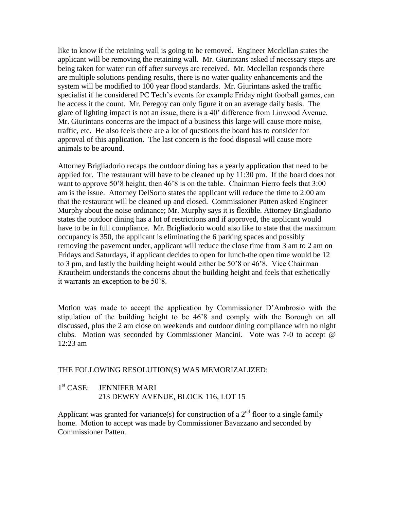like to know if the retaining wall is going to be removed. Engineer Mcclellan states the applicant will be removing the retaining wall. Mr. Giurintans asked if necessary steps are being taken for water run off after surveys are received. Mr. Mcclellan responds there are multiple solutions pending results, there is no water quality enhancements and the system will be modified to 100 year flood standards. Mr. Giurintans asked the traffic specialist if he considered PC Tech's events for example Friday night football games, can he access it the count. Mr. Peregoy can only figure it on an average daily basis. The glare of lighting impact is not an issue, there is a 40' difference from Linwood Avenue. Mr. Giurintans concerns are the impact of a business this large will cause more noise, traffic, etc. He also feels there are a lot of questions the board has to consider for approval of this application. The last concern is the food disposal will cause more animals to be around.

Attorney Brigliadorio recaps the outdoor dining has a yearly application that need to be applied for. The restaurant will have to be cleaned up by 11:30 pm. If the board does not want to approve 50'8 height, then 46'8 is on the table. Chairman Fierro feels that 3:00 am is the issue. Attorney DelSorto states the applicant will reduce the time to 2:00 am that the restaurant will be cleaned up and closed. Commissioner Patten asked Engineer Murphy about the noise ordinance; Mr. Murphy says it is flexible. Attorney Brigliadorio states the outdoor dining has a lot of restrictions and if approved, the applicant would have to be in full compliance. Mr. Brigliadorio would also like to state that the maximum occupancy is 350, the applicant is eliminating the 6 parking spaces and possibly removing the pavement under, applicant will reduce the close time from 3 am to 2 am on Fridays and Saturdays, if applicant decides to open for lunch-the open time would be 12 to 3 pm, and lastly the building height would either be 50'8 or 46'8. Vice Chairman Krautheim understands the concerns about the building height and feels that esthetically it warrants an exception to be 50'8.

Motion was made to accept the application by Commissioner D'Ambrosio with the stipulation of the building height to be 46'8 and comply with the Borough on all discussed, plus the 2 am close on weekends and outdoor dining compliance with no night clubs. Motion was seconded by Commissioner Mancini. Vote was 7-0 to accept @ 12:23 am

## THE FOLLOWING RESOLUTION(S) WAS MEMORIZALIZED:

#### $1<sup>st</sup> CASE:$ **JENNIFER MARI** 213 DEWEY AVENUE, BLOCK 116, LOT 15

Applicant was granted for variance(s) for construction of a  $2<sup>nd</sup>$  floor to a single family home. Motion to accept was made by Commissioner Bavazzano and seconded by Commissioner Patten.